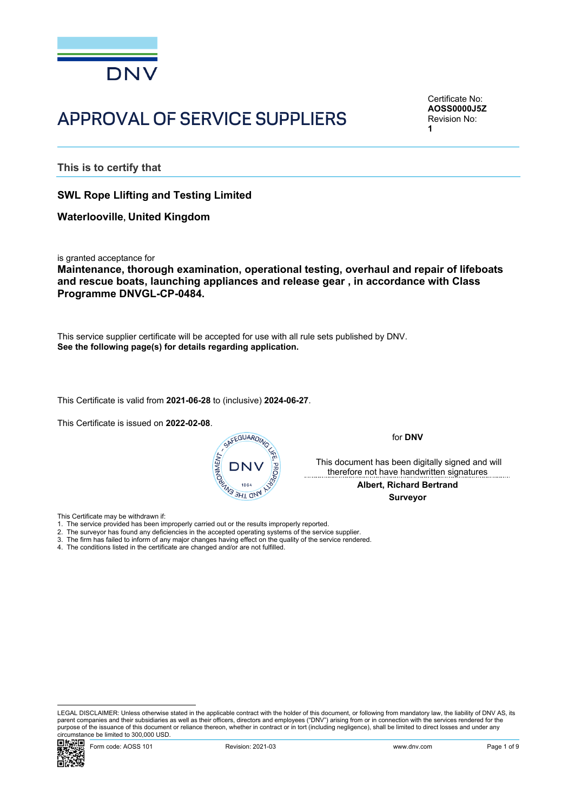

## APPROVAL OF SERVICE SUPPLIERS

Certificate No: **AOSS0000J5Z** Revision No: **1**

**This is to certify that**

**SWL Rope Llifting and Testing Limited**

**Waterlooville, United Kingdom**

is granted acceptance for

**Maintenance, thorough examination, operational testing, overhaul and repair of lifeboats and rescue boats, launching appliances and release gear , in accordance with Class Programme DNVGL-CP-0484.**

This service supplier certificate will be accepted for use with all rule sets published by DNV. **See the following page(s) for details regarding application.**

This Certificate is valid from **2021-06-28** to (inclusive) **2024-06-27**.

This Certificate is issued on **2022-02-08**.



for **DNV**

 This document has been digitally signed and will therefore not have handwritten signatures

> **Albert, Richard Bertrand Surveyor**

This Certificate may be withdrawn if:

- 
- 2. The surveyor has found any deficiencies in the accepted operating systems of the service supplier.
- 3. The firm has failed to inform of any major changes having effect on the quality of the service rendered.
- 4. The conditions listed in the certificate are changed and/or are not fulfilled.

LEGAL DISCLAIMER: Unless otherwise stated in the applicable contract with the holder of this document, or following from mandatory law, the liability of DNV AS, its parent companies and their subsidiaries as well as their officers, directors and employees ("DNV") arising from or in connection with the services rendered for the purpose of the issuance of this document or reliance thereon, whether in contract or in tort (including negligence), shall be limited to direct losses and under any circumstance be limited to 300,000 USD.

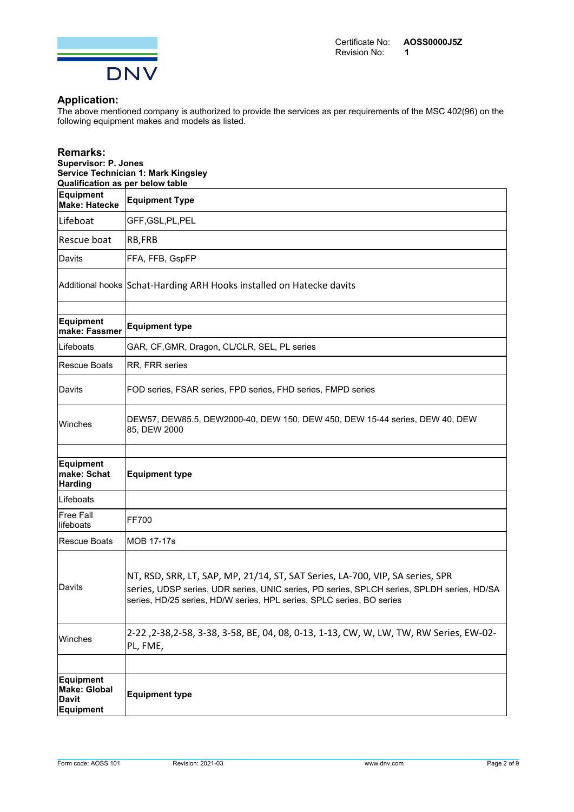

## **Application:**

The above mentioned company is authorized to provide the services as per requirements of the MSC 402(96) on the following equipment makes and models as listed.

| <b>Remarks:</b><br><b>Supervisor: P. Jones</b><br><b>Service Technician 1: Mark Kingsley</b><br>Qualification as per below table |                                                                                                                                                                                                                                                      |  |  |
|----------------------------------------------------------------------------------------------------------------------------------|------------------------------------------------------------------------------------------------------------------------------------------------------------------------------------------------------------------------------------------------------|--|--|
| Equipment<br>Make: Hatecke                                                                                                       | <b>Equipment Type</b>                                                                                                                                                                                                                                |  |  |
| Lifeboat                                                                                                                         | GFF, GSL, PL, PEL                                                                                                                                                                                                                                    |  |  |
| Rescue boat                                                                                                                      | RB,FRB                                                                                                                                                                                                                                               |  |  |
| Davits                                                                                                                           | FFA, FFB, GspFP                                                                                                                                                                                                                                      |  |  |
|                                                                                                                                  | Additional hooks Schat-Harding ARH Hooks installed on Hatecke davits                                                                                                                                                                                 |  |  |
| Equipment<br>make: Fassmer                                                                                                       | <b>Equipment type</b>                                                                                                                                                                                                                                |  |  |
| <b>Lifeboats</b>                                                                                                                 | GAR, CF, GMR, Dragon, CL/CLR, SEL, PL series                                                                                                                                                                                                         |  |  |
| Rescue Boats                                                                                                                     | RR, FRR series                                                                                                                                                                                                                                       |  |  |
| <b>IDavits</b>                                                                                                                   | FOD series, FSAR series, FPD series, FHD series, FMPD series                                                                                                                                                                                         |  |  |
| Winches                                                                                                                          | DEW57, DEW85.5, DEW2000-40, DEW 150, DEW 450, DEW 15-44 series, DEW 40, DEW<br>85, DEW 2000                                                                                                                                                          |  |  |
| Equipment<br>make: Schat<br><b>Harding</b>                                                                                       | <b>Equipment type</b>                                                                                                                                                                                                                                |  |  |
| <b>Lifeboats</b>                                                                                                                 |                                                                                                                                                                                                                                                      |  |  |
| lFree Fall<br>llifeboats                                                                                                         | FF700                                                                                                                                                                                                                                                |  |  |
| Rescue Boats                                                                                                                     | MOB 17-17s                                                                                                                                                                                                                                           |  |  |
| Davits                                                                                                                           | NT, RSD, SRR, LT, SAP, MP, 21/14, ST, SAT Series, LA-700, VIP, SA series, SPR<br>series, UDSP series, UDR series, UNIC series, PD series, SPLCH series, SPLDH series, HD/SA<br>series, HD/25 series, HD/W series, HPL series, SPLC series, BO series |  |  |
| Winches                                                                                                                          | 2-22 , 2-38, 2-58, 3-38, 3-58, BE, 04, 08, 0-13, 1-13, CW, W, LW, TW, RW Series, EW-02-<br>PL, FME,                                                                                                                                                  |  |  |
|                                                                                                                                  |                                                                                                                                                                                                                                                      |  |  |
| <b>Equipment</b><br>Make: Global<br>Davit<br>Equipment                                                                           | <b>Equipment type</b>                                                                                                                                                                                                                                |  |  |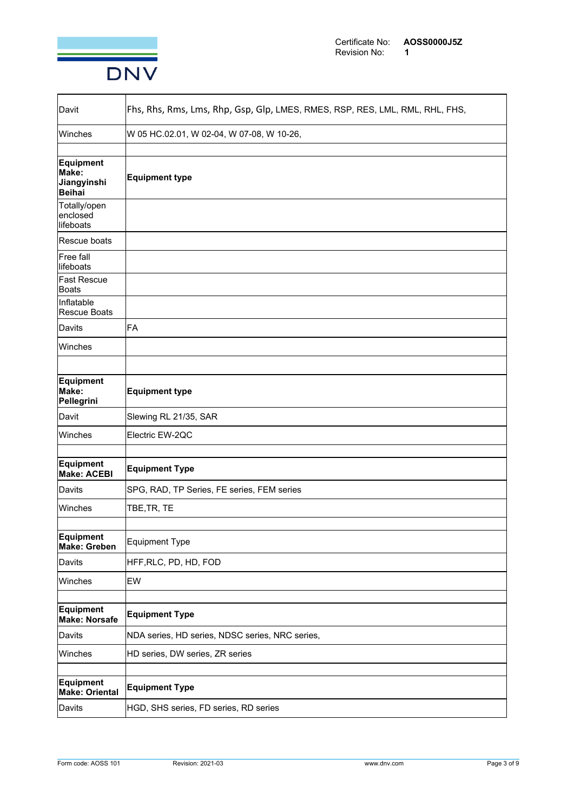

| lDavit                                      | Fhs, Rhs, Rms, Lms, Rhp, Gsp, Glp, LMES, RMES, RSP, RES, LML, RML, RHL, FHS, |  |
|---------------------------------------------|------------------------------------------------------------------------------|--|
| <b>Winches</b>                              | W 05 HC.02.01, W 02-04, W 07-08, W 10-26,                                    |  |
| Equipment<br>Make:<br>Jiangyinshi<br>Beihai | <b>Equipment type</b>                                                        |  |
| Totally/open<br>enclosed<br>llifeboats      |                                                                              |  |
| Rescue boats                                |                                                                              |  |
| Free fall<br>llifeboats                     |                                                                              |  |
| <b>Fast Rescue</b><br>Boats                 |                                                                              |  |
| Inflatable<br><b>Rescue Boats</b>           |                                                                              |  |
| Davits                                      | FA                                                                           |  |
| <b>Winches</b>                              |                                                                              |  |
|                                             |                                                                              |  |
| Equipment<br>Make:<br>Pellegrini            | <b>Equipment type</b>                                                        |  |
| Davit                                       | Slewing RL 21/35, SAR                                                        |  |
| Winches                                     | Electric EW-2QC                                                              |  |
| Equipment<br><b>Make: ACEBI</b>             | <b>Equipment Type</b>                                                        |  |
| Davits                                      | SPG, RAD, TP Series, FE series, FEM series                                   |  |
| <b>Winches</b>                              | TBE, TR, TE                                                                  |  |
| Equipment<br><b>Make: Greben</b>            | Equipment Type                                                               |  |
| Davits                                      | HFF,RLC, PD, HD, FOD                                                         |  |
| Winches                                     | <b>EW</b>                                                                    |  |
| <b>Equipment</b><br>Make: Norsafe           | <b>Equipment Type</b>                                                        |  |
| Davits                                      | NDA series, HD series, NDSC series, NRC series,                              |  |
| Winches                                     | HD series, DW series, ZR series                                              |  |
| Equipment<br><b>Make: Oriental</b>          | <b>Equipment Type</b>                                                        |  |
| Davits                                      | HGD, SHS series, FD series, RD series                                        |  |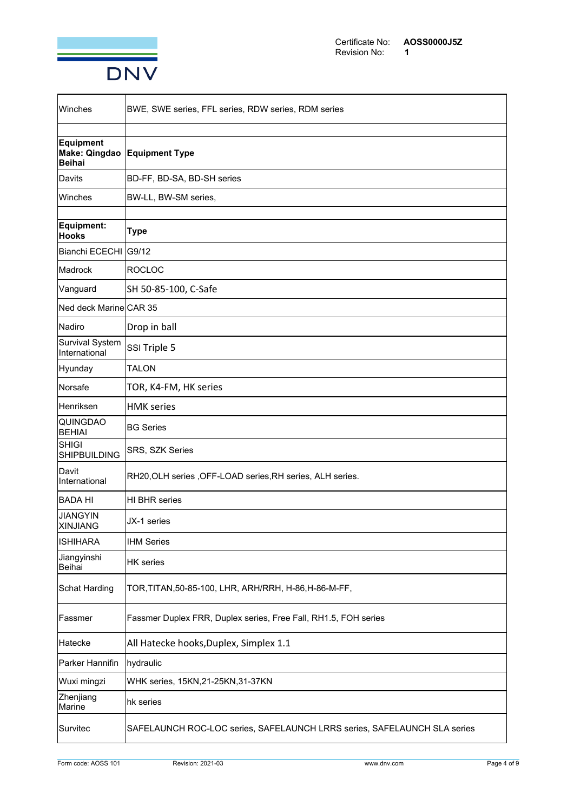

| lWinches                                | BWE, SWE series, FFL series, RDW series, RDM series                      |  |
|-----------------------------------------|--------------------------------------------------------------------------|--|
|                                         |                                                                          |  |
| Equipment<br>Make: Qingdao<br>Beihai    | <b>Equipment Type</b>                                                    |  |
| <b>Davits</b>                           | BD-FF, BD-SA, BD-SH series                                               |  |
| lWinches                                | BW-LL, BW-SM series,                                                     |  |
|                                         |                                                                          |  |
| Equipment:<br>Hooks                     | <b>Type</b>                                                              |  |
| Bianchi ECECHI   G9/12                  |                                                                          |  |
| Madrock                                 | <b>ROCLOC</b>                                                            |  |
| Vanguard                                | SH 50-85-100, C-Safe                                                     |  |
| Ned deck Marine CAR 35                  |                                                                          |  |
| Nadiro                                  | Drop in ball                                                             |  |
| <b>Survival System</b><br>International | SSI Triple 5                                                             |  |
| Hyunday                                 | <b>TALON</b>                                                             |  |
| Norsafe                                 | TOR, K4-FM, HK series                                                    |  |
| lHenriksen                              | <b>HMK</b> series                                                        |  |
| <b>QUINGDAO</b><br>BEHIAI               | <b>BG Series</b>                                                         |  |
| SHIGI<br><b>SHIPBUILDING</b>            | SRS, SZK Series                                                          |  |
| lDavit<br>International                 | RH20, OLH series , OFF-LOAD series, RH series, ALH series.               |  |
| <b>BADA HI</b>                          | <b>HI BHR series</b>                                                     |  |
| <b>JIANGYIN</b><br><b>XINJIANG</b>      | JX-1 series                                                              |  |
| <b>ISHIHARA</b>                         | <b>IHM Series</b>                                                        |  |
| Jiangyinshi<br>Beihai                   | <b>HK</b> series                                                         |  |
| Schat Harding                           | TOR, TITAN, 50-85-100, LHR, ARH/RRH, H-86, H-86-M-FF,                    |  |
| Fassmer                                 | Fassmer Duplex FRR, Duplex series, Free Fall, RH1.5, FOH series          |  |
| Hatecke                                 | All Hatecke hooks, Duplex, Simplex 1.1                                   |  |
| Parker Hannifin                         | hydraulic                                                                |  |
| Wuxi mingzi                             | WHK series, 15KN, 21-25KN, 31-37KN                                       |  |
| Zhenjiang<br>Marine                     | hk series                                                                |  |
| Survitec                                | SAFELAUNCH ROC-LOC series, SAFELAUNCH LRRS series, SAFELAUNCH SLA series |  |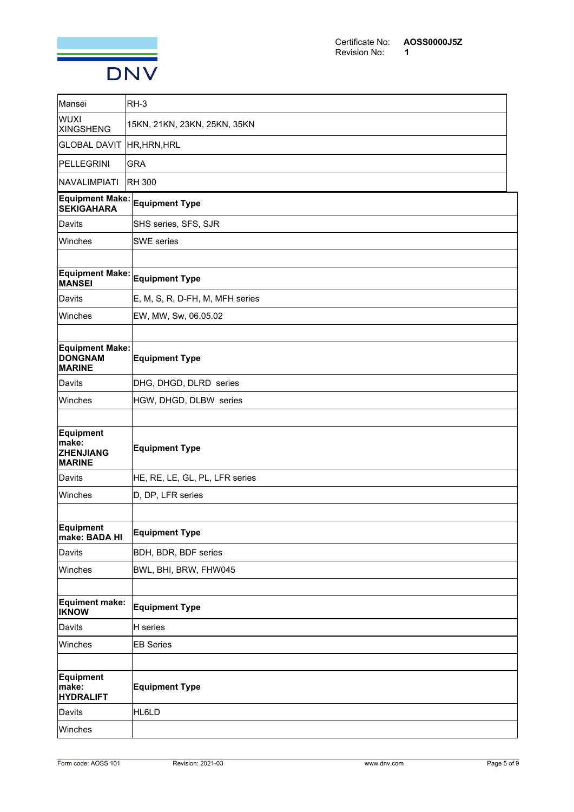

| Mansei                                                    | RH-3                            |
|-----------------------------------------------------------|---------------------------------|
| <b>WUXI</b><br><b>XINGSHENG</b>                           | 15KN, 21KN, 23KN, 25KN, 35KN    |
| <b>GLOBAL DAVIT HR, HRN, HRL</b>                          |                                 |
| PELLEGRINI                                                | <b>GRA</b>                      |
| NAVALIMPIATI                                              | RH 300                          |
| Equipment Make:<br><b>SEKIGAHARA</b>                      | <b>Equipment Type</b>           |
| Davits                                                    | SHS series, SFS, SJR            |
| Winches                                                   | <b>SWE</b> series               |
|                                                           |                                 |
| <b>MANSEI</b>                                             | Equipment Make: Equipment Type  |
| Davits                                                    | E, M, S, R, D-FH, M, MFH series |
| Winches                                                   | EW, MW, Sw, 06.05.02            |
|                                                           |                                 |
| <b>Equipment Make:</b><br><b>DONGNAM</b><br><b>MARINE</b> | <b>Equipment Type</b>           |
| Davits                                                    | DHG, DHGD, DLRD series          |
| Winches                                                   | HGW, DHGD, DLBW series          |
|                                                           |                                 |
| Equipment<br>make:<br><b>ZHENJIANG</b><br><b>MARINE</b>   | <b>Equipment Type</b>           |
| Davits                                                    | HE, RE, LE, GL, PL, LFR series  |
| Winches                                                   | D, DP, LFR series               |
|                                                           |                                 |
| Equipment<br>make: BADA HI                                | <b>Equipment Type</b>           |
| <b>Davits</b>                                             | BDH, BDR, BDF series            |
| Winches                                                   | BWL, BHI, BRW, FHW045           |
|                                                           |                                 |
| Equiment make:<br><b>IKNOW</b>                            | <b>Equipment Type</b>           |
| Davits                                                    | H series                        |
| Winches                                                   | <b>EB Series</b>                |
|                                                           |                                 |
| Equipment<br>make:<br><b>HYDRALIFT</b>                    | <b>Equipment Type</b>           |
| Davits                                                    | HL6LD                           |
| Winches                                                   |                                 |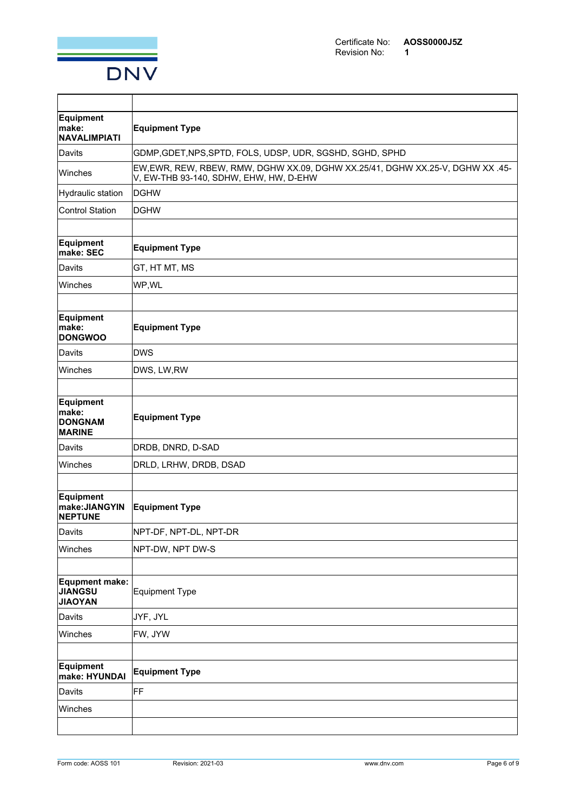

| Equipment<br>make:<br>NAVALIMPIATI                 | <b>Equipment Type</b>                                                                                                   |  |
|----------------------------------------------------|-------------------------------------------------------------------------------------------------------------------------|--|
| Davits                                             | GDMP, GDET, NPS, SPTD, FOLS, UDSP, UDR, SGSHD, SGHD, SPHD                                                               |  |
| <b>Winches</b>                                     | EW, EWR, REW, RBEW, RMW, DGHW XX.09, DGHW XX.25/41, DGHW XX.25-V, DGHW XX.45-<br>V, EW-THB 93-140, SDHW, EHW, HW, D-EHW |  |
| Hydraulic station                                  | DGHW                                                                                                                    |  |
| <b>Control Station</b>                             | <b>DGHW</b>                                                                                                             |  |
|                                                    |                                                                                                                         |  |
| Equipment<br>make: SEC                             | <b>Equipment Type</b>                                                                                                   |  |
| Davits                                             | GT, HT MT, MS                                                                                                           |  |
| Winches                                            | WP,WL                                                                                                                   |  |
|                                                    |                                                                                                                         |  |
| Equipment<br>make:<br><b>DONGWOO</b>               | <b>Equipment Type</b>                                                                                                   |  |
| Davits                                             | <b>DWS</b>                                                                                                              |  |
| Winches                                            | DWS, LW, RW                                                                                                             |  |
|                                                    |                                                                                                                         |  |
| Equipment<br>make:<br>DONGNAM<br><b>MARINE</b>     | <b>Equipment Type</b>                                                                                                   |  |
| Davits                                             | DRDB, DNRD, D-SAD                                                                                                       |  |
| Winches                                            | DRLD, LRHW, DRDB, DSAD                                                                                                  |  |
|                                                    |                                                                                                                         |  |
| Equipment<br>make:JIANGYIN<br><b>NEPTUNE</b>       | <b>Equipment Type</b>                                                                                                   |  |
| Davits                                             | NPT-DF, NPT-DL, NPT-DR                                                                                                  |  |
| Winches                                            | NPT-DW, NPT DW-S                                                                                                        |  |
|                                                    |                                                                                                                         |  |
| Equpment make:<br><b>JIANGSU</b><br><b>JIAOYAN</b> | Equipment Type                                                                                                          |  |
| Davits                                             | JYF, JYL                                                                                                                |  |
| Winches                                            | FW, JYW                                                                                                                 |  |
|                                                    |                                                                                                                         |  |
| Equipment<br>make: HYUNDAI                         | <b>Equipment Type</b>                                                                                                   |  |
| Davits                                             | FF                                                                                                                      |  |
| Winches                                            |                                                                                                                         |  |
|                                                    |                                                                                                                         |  |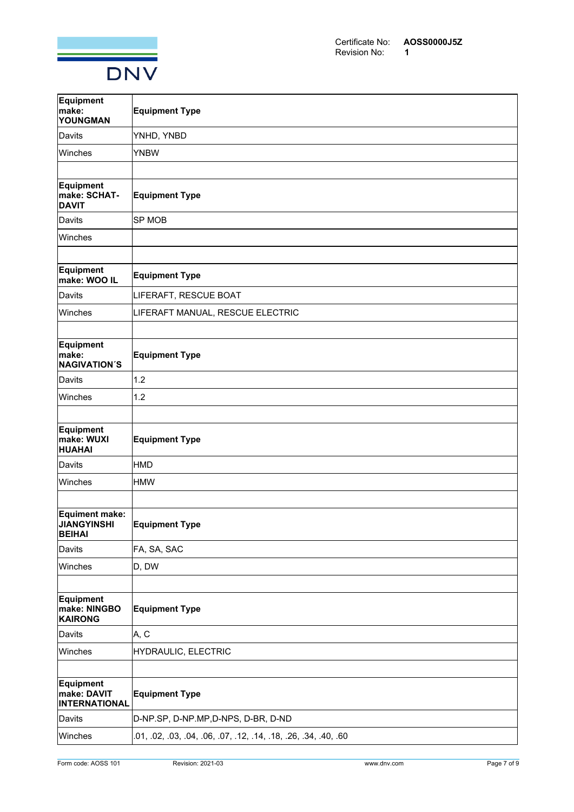

| Equipment<br>make:<br>YOUNGMAN                          | <b>Equipment Type</b>                              |  |
|---------------------------------------------------------|----------------------------------------------------|--|
| Davits                                                  | YNHD, YNBD                                         |  |
| Winches                                                 | <b>YNBW</b>                                        |  |
|                                                         |                                                    |  |
| Equipment<br>make: SCHAT-<br><b>DAVIT</b>               | <b>Equipment Type</b>                              |  |
| Davits                                                  | SP MOB                                             |  |
| Winches                                                 |                                                    |  |
|                                                         |                                                    |  |
| Equipment<br>make: WOO IL                               | <b>Equipment Type</b>                              |  |
| Davits                                                  | LIFERAFT, RESCUE BOAT                              |  |
| Winches                                                 | LIFERAFT MANUAL, RESCUE ELECTRIC                   |  |
|                                                         |                                                    |  |
| Equipment<br>make:<br><b>NAGIVATION'S</b>               | <b>Equipment Type</b>                              |  |
| Davits                                                  | 1.2                                                |  |
| Winches                                                 | 1.2                                                |  |
|                                                         |                                                    |  |
| Equipment<br>make: WUXI<br><b>HUAHAI</b>                | <b>Equipment Type</b>                              |  |
| Davits                                                  | HMD                                                |  |
| Winches                                                 | <b>HMW</b>                                         |  |
|                                                         |                                                    |  |
| Equiment make:<br><b>JIANGYINSHI</b><br><b>BEIHAI</b>   | <b>Equipment Type</b>                              |  |
| Davits                                                  | FA, SA, SAC                                        |  |
| Winches                                                 | D, DW                                              |  |
|                                                         |                                                    |  |
| Equipment<br>make: NINGBO<br><b>KAIRONG</b>             | <b>Equipment Type</b>                              |  |
| Davits                                                  | A, C                                               |  |
| Winches                                                 | HYDRAULIC, ELECTRIC                                |  |
|                                                         |                                                    |  |
| <b>Equipment</b><br>make: DAVIT<br><b>INTERNATIONAL</b> | <b>Equipment Type</b>                              |  |
| Davits                                                  | D-NP.SP, D-NP.MP, D-NPS, D-BR, D-ND                |  |
| Winches                                                 | 01, 02, 03, 04, 06, 07, 12, 14, 18, 26, 34, 40, 60 |  |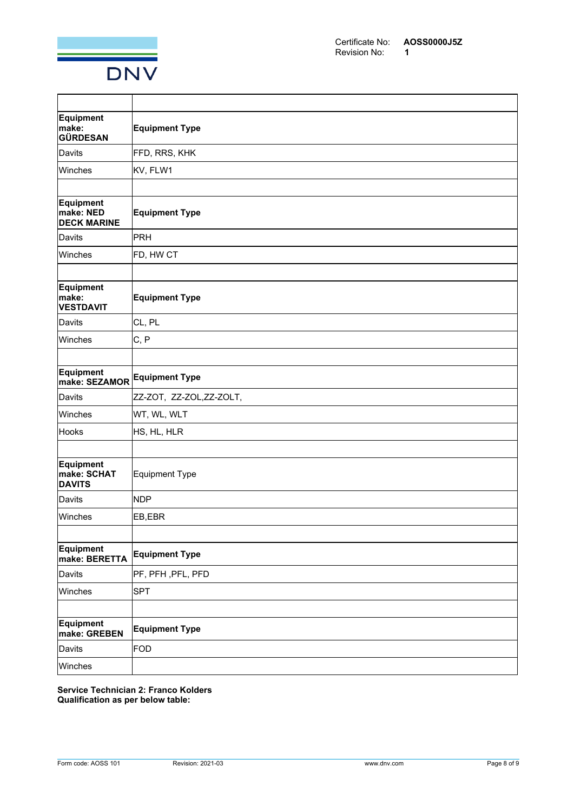

| Equipment<br>make:<br><b>GÜRDESAN</b>        | <b>Equipment Type</b>    |
|----------------------------------------------|--------------------------|
| Davits                                       | FFD, RRS, KHK            |
| Winches                                      | KV, FLW1                 |
|                                              |                          |
| Equipment<br>make: NED<br><b>DECK MARINE</b> | <b>Equipment Type</b>    |
| Davits                                       | PRH                      |
| Winches                                      | FD, HW CT                |
|                                              |                          |
| Equipment<br>make:<br><b>VESTDAVIT</b>       | <b>Equipment Type</b>    |
| Davits                                       | CL, PL                   |
| Winches                                      | C, P                     |
|                                              |                          |
| Equipment<br>make: SEZAMOR                   | <b>Equipment Type</b>    |
| Davits                                       | ZZ-ZOT, ZZ-ZOL, ZZ-ZOLT, |
| Winches                                      | WT, WL, WLT              |
| Hooks                                        | HS, HL, HLR              |
|                                              |                          |
| Equipment<br>make: SCHAT<br><b>DAVITS</b>    | <b>Equipment Type</b>    |
| Davits                                       | <b>NDP</b>               |
| Winches                                      | EB,EBR                   |
|                                              |                          |
| <b>Equipment</b><br>make: BERETTA            | <b>Equipment Type</b>    |
| Davits                                       | PF, PFH , PFL, PFD       |
| Winches                                      | <b>SPT</b>               |
|                                              |                          |
| Equipment<br>make: GREBEN                    | <b>Equipment Type</b>    |
| Davits                                       | FOD                      |
| Winches                                      |                          |

**Service Technician 2: Franco Kolders Qualification as per below table:**